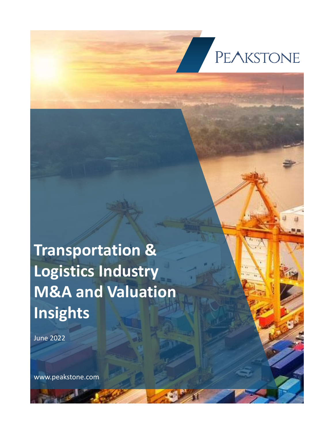

# **Transportation & Logistics Industry M&A and Valuation Insights**

June 2022

www.peakstone.com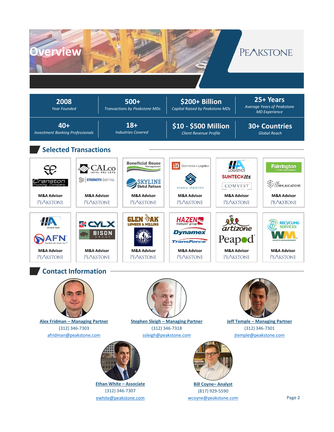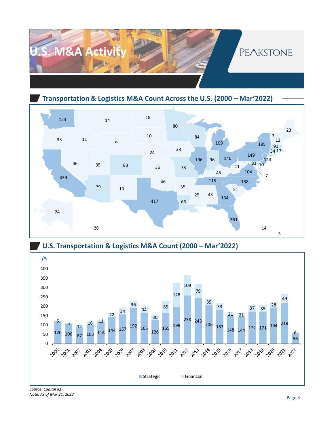

**Transportation & Logistics M&A Count Across the U.S. (2000 – Mar'2022)**







*Note: As of Mar 31, 2022*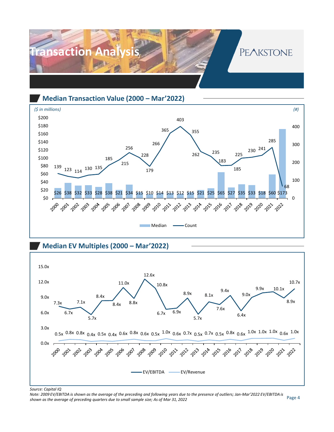

**Median Transaction Value (2000 – Mar'2022)**



**Median EV Multiples (2000 – Mar'2022)** 



*Source: Capital IQ*

Page 4 *Note: 2009 EV/EBITDA is shown as the average of the preceding and following years due to the presence of outliers; Jan-Mar'2022 EV/EBITDA is shown as the average of preceding quarters due to small sample size; As of Mar 31, 2022*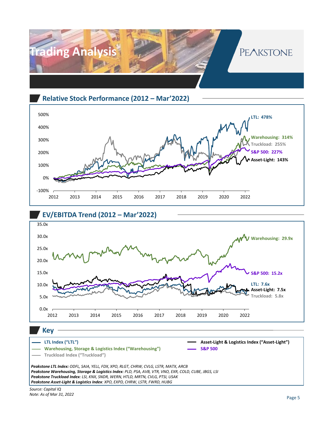

#### **Relative Stock Performance (2012 – Mar'2022)**







**Key**

#### **LTL Index ("LTL")**



*Source: Capital IQ Note: As of Mar 31, 2022*